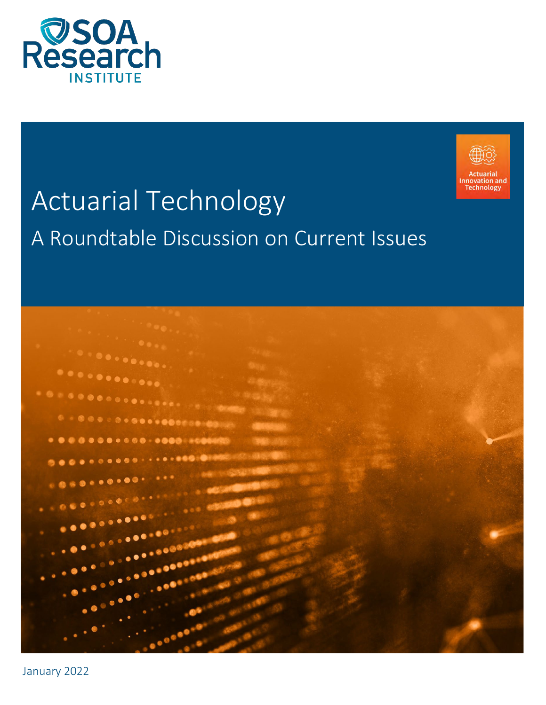



# Actuarial Technology A Roundtable Discussion on Current Issues



January 2022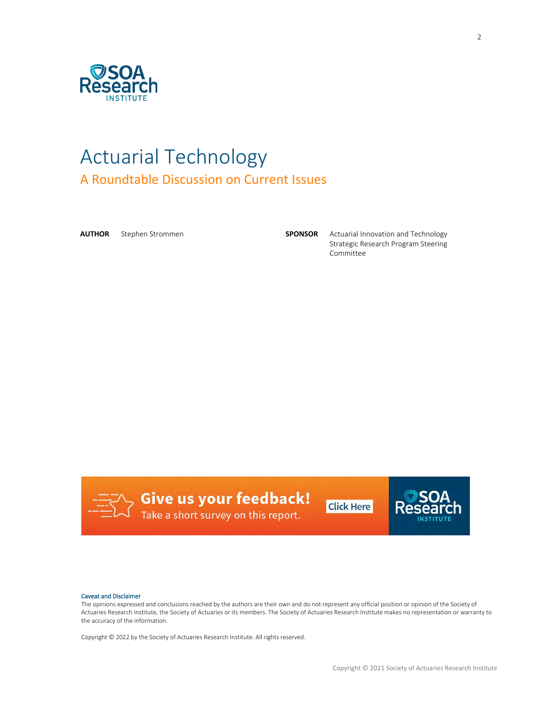

# Actuarial Technology A Roundtable Discussion on Current Issues

**AUTHOR** Stephen Strommen **SPONSOR** Actuarial Innovation and Technology Strategic Research Program Steering Committee



**Give us your feedback!**<br>J Take a short survey on this report.



#### Caveat and Disclaimer

The opinions expressed and conclusions reached by the authors are their own and do not represent any official position or opinion of the Society of Actuaries Research Institute, the Society of Actuaries or its members. The Society of Actuaries Research Institute makes no representation or warranty to the accuracy of the information.

Copyright © 2022 by the Society of Actuaries Research Institute. All rights reserved.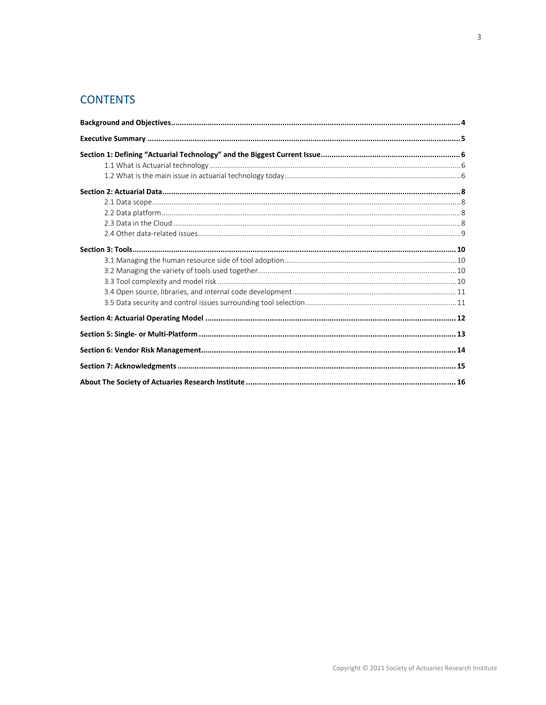# **CONTENTS**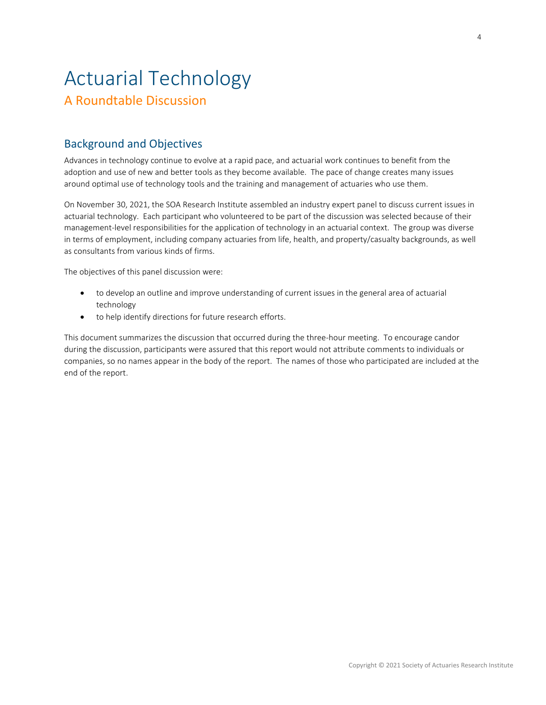# Actuarial Technology A Roundtable Discussion

# <span id="page-3-0"></span>Background and Objectives

Advances in technology continue to evolve at a rapid pace, and actuarial work continues to benefit from the adoption and use of new and better tools as they become available. The pace of change creates many issues around optimal use of technology tools and the training and management of actuaries who use them.

On November 30, 2021, the SOA Research Institute assembled an industry expert panel to discuss current issues in actuarial technology. Each participant who volunteered to be part of the discussion was selected because of their management-level responsibilities for the application of technology in an actuarial context. The group was diverse in terms of employment, including company actuaries from life, health, and property/casualty backgrounds, as well as consultants from various kinds of firms.

The objectives of this panel discussion were:

- to develop an outline and improve understanding of current issues in the general area of actuarial technology
- to help identify directions for future research efforts.

This document summarizes the discussion that occurred during the three-hour meeting. To encourage candor during the discussion, participants were assured that this report would not attribute comments to individuals or companies, so no names appear in the body of the report. The names of those who participated are included at the end of the report.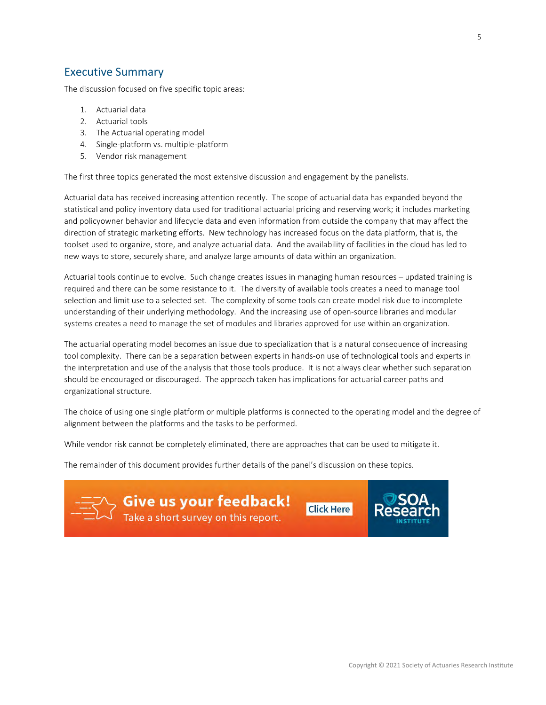## <span id="page-4-0"></span>Executive Summary

The discussion focused on five specific topic areas:

- 1. Actuarial data
- 2. Actuarial tools
- 3. The Actuarial operating model
- 4. Single-platform vs. multiple-platform
- 5. Vendor risk management

The first three topics generated the most extensive discussion and engagement by the panelists.

Actuarial data has received increasing attention recently. The scope of actuarial data has expanded beyond the statistical and policy inventory data used for traditional actuarial pricing and reserving work; it includes marketing and policyowner behavior and lifecycle data and even information from outside the company that may affect the direction of strategic marketing efforts. New technology has increased focus on the data platform, that is, the toolset used to organize, store, and analyze actuarial data. And the availability of facilities in the cloud has led to new ways to store, securely share, and analyze large amounts of data within an organization.

Actuarial tools continue to evolve. Such change creates issues in managing human resources – updated training is required and there can be some resistance to it. The diversity of available tools creates a need to manage tool selection and limit use to a selected set. The complexity of some tools can create model risk due to incomplete understanding of their underlying methodology. And the increasing use of open-source libraries and modular systems creates a need to manage the set of modules and libraries approved for use within an organization.

The actuarial operating model becomes an issue due to specialization that is a natural consequence of increasing tool complexity. There can be a separation between experts in hands-on use of technological tools and experts in the interpretation and use of the analysis that those tools produce. It is not always clear whether such separation should be encouraged or discouraged. The approach taken has implications for actuarial career paths and organizational structure.

The choice of using one single platform or multiple platforms is connected to the operating model and the degree of alignment between the platforms and the tasks to be performed.

While vendor risk cannot be completely eliminated, there are approaches that can be used to mitigate it.

The remainder of this document provides further details of the panel's discussion on these topics.

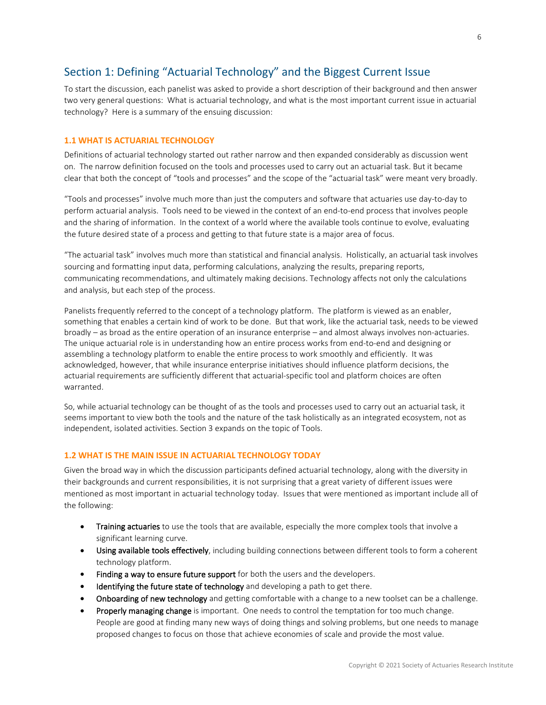# <span id="page-5-0"></span>Section 1: Defining "Actuarial Technology" and the Biggest Current Issue

To start the discussion, each panelist was asked to provide a short description of their background and then answer two very general questions: What is actuarial technology, and what is the most important current issue in actuarial technology? Here is a summary of the ensuing discussion:

#### <span id="page-5-1"></span>**1.1 WHAT IS ACTUARIAL TECHNOLOGY**

Definitions of actuarial technology started out rather narrow and then expanded considerably as discussion went on. The narrow definition focused on the tools and processes used to carry out an actuarial task. But it became clear that both the concept of "tools and processes" and the scope of the "actuarial task" were meant very broadly.

"Tools and processes" involve much more than just the computers and software that actuaries use day-to-day to perform actuarial analysis. Tools need to be viewed in the context of an end-to-end process that involves people and the sharing of information. In the context of a world where the available tools continue to evolve, evaluating the future desired state of a process and getting to that future state is a major area of focus.

"The actuarial task" involves much more than statistical and financial analysis. Holistically, an actuarial task involves sourcing and formatting input data, performing calculations, analyzing the results, preparing reports, communicating recommendations, and ultimately making decisions. Technology affects not only the calculations and analysis, but each step of the process.

Panelists frequently referred to the concept of a technology platform. The platform is viewed as an enabler, something that enables a certain kind of work to be done. But that work, like the actuarial task, needs to be viewed broadly – as broad as the entire operation of an insurance enterprise – and almost always involves non-actuaries. The unique actuarial role is in understanding how an entire process works from end-to-end and designing or assembling a technology platform to enable the entire process to work smoothly and efficiently. It was acknowledged, however, that while insurance enterprise initiatives should influence platform decisions, the actuarial requirements are sufficiently different that actuarial-specific tool and platform choices are often warranted.

So, while actuarial technology can be thought of as the tools and processes used to carry out an actuarial task, it seems important to view both the tools and the nature of the task holistically as an integrated ecosystem, not as independent, isolated activities. Section 3 expands on the topic of Tools.

#### <span id="page-5-2"></span>**1.2 WHAT IS THE MAIN ISSUE IN ACTUARIAL TECHNOLOGY TODAY**

Given the broad way in which the discussion participants defined actuarial technology, along with the diversity in their backgrounds and current responsibilities, it is not surprising that a great variety of different issues were mentioned as most important in actuarial technology today. Issues that were mentioned as important include all of the following:

- Training actuaries to use the tools that are available, especially the more complex tools that involve a significant learning curve.
- Using available tools effectively, including building connections between different tools to form a coherent technology platform.
- Finding a way to ensure future support for both the users and the developers.
- Identifying the future state of technology and developing a path to get there.
- **Onboarding of new technology** and getting comfortable with a change to a new toolset can be a challenge.
- Properly managing change is important. One needs to control the temptation for too much change. People are good at finding many new ways of doing things and solving problems, but one needs to manage proposed changes to focus on those that achieve economies of scale and provide the most value.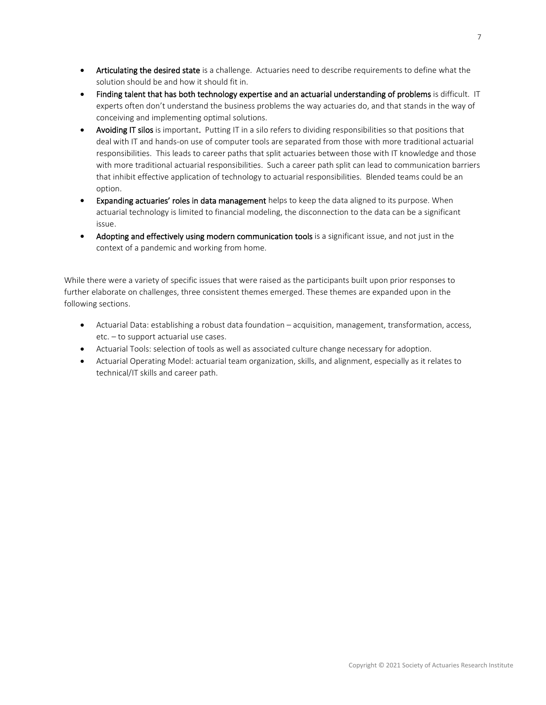- Articulating the desired state is a challenge. Actuaries need to describe requirements to define what the solution should be and how it should fit in.
- Finding talent that has both technology expertise and an actuarial understanding of problems is difficult. IT experts often don't understand the business problems the way actuaries do, and that stands in the way of conceiving and implementing optimal solutions.
- Avoiding IT silos is important. Putting IT in a silo refers to dividing responsibilities so that positions that deal with IT and hands-on use of computer tools are separated from those with more traditional actuarial responsibilities. This leads to career paths that split actuaries between those with IT knowledge and those with more traditional actuarial responsibilities. Such a career path split can lead to communication barriers that inhibit effective application of technology to actuarial responsibilities. Blended teams could be an option.
- Expanding actuaries' roles in data management helps to keep the data aligned to its purpose. When actuarial technology is limited to financial modeling, the disconnection to the data can be a significant issue.
- Adopting and effectively using modern communication tools is a significant issue, and not just in the context of a pandemic and working from home.

While there were a variety of specific issues that were raised as the participants built upon prior responses to further elaborate on challenges, three consistent themes emerged. These themes are expanded upon in the following sections.

- Actuarial Data: establishing a robust data foundation acquisition, management, transformation, access, etc. – to support actuarial use cases.
- Actuarial Tools: selection of tools as well as associated culture change necessary for adoption.
- Actuarial Operating Model: actuarial team organization, skills, and alignment, especially as it relates to technical/IT skills and career path.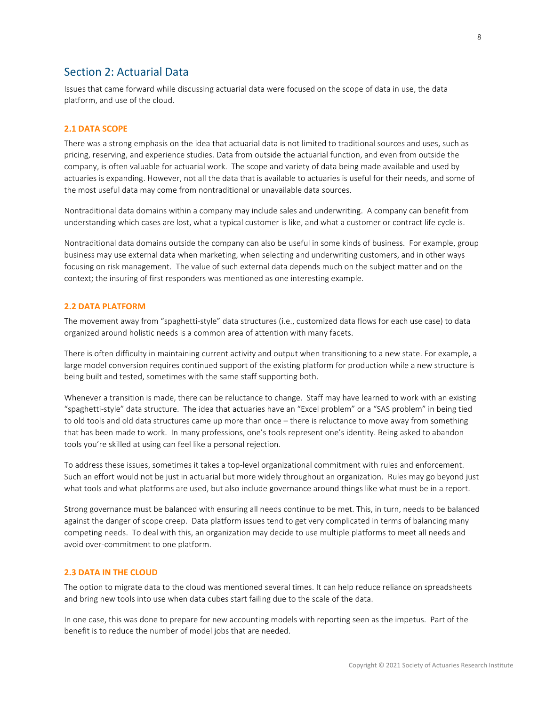### <span id="page-7-0"></span>Section 2: Actuarial Data

Issues that came forward while discussing actuarial data were focused on the scope of data in use, the data platform, and use of the cloud.

#### <span id="page-7-1"></span>**2.1 DATA SCOPE**

There was a strong emphasis on the idea that actuarial data is not limited to traditional sources and uses, such as pricing, reserving, and experience studies. Data from outside the actuarial function, and even from outside the company, is often valuable for actuarial work. The scope and variety of data being made available and used by actuaries is expanding. However, not all the data that is available to actuaries is useful for their needs, and some of the most useful data may come from nontraditional or unavailable data sources.

Nontraditional data domains within a company may include sales and underwriting. A company can benefit from understanding which cases are lost, what a typical customer is like, and what a customer or contract life cycle is.

Nontraditional data domains outside the company can also be useful in some kinds of business. For example, group business may use external data when marketing, when selecting and underwriting customers, and in other ways focusing on risk management. The value of such external data depends much on the subject matter and on the context; the insuring of first responders was mentioned as one interesting example.

#### <span id="page-7-2"></span>**2.2 DATA PLATFORM**

The movement away from "spaghetti-style" data structures (i.e., customized data flows for each use case) to data organized around holistic needs is a common area of attention with many facets.

There is often difficulty in maintaining current activity and output when transitioning to a new state. For example, a large model conversion requires continued support of the existing platform for production while a new structure is being built and tested, sometimes with the same staff supporting both.

Whenever a transition is made, there can be reluctance to change. Staff may have learned to work with an existing "spaghetti-style" data structure. The idea that actuaries have an "Excel problem" or a "SAS problem" in being tied to old tools and old data structures came up more than once – there is reluctance to move away from something that has been made to work. In many professions, one's tools represent one's identity. Being asked to abandon tools you're skilled at using can feel like a personal rejection.

To address these issues, sometimes it takes a top-level organizational commitment with rules and enforcement. Such an effort would not be just in actuarial but more widely throughout an organization. Rules may go beyond just what tools and what platforms are used, but also include governance around things like what must be in a report.

Strong governance must be balanced with ensuring all needs continue to be met. This, in turn, needs to be balanced against the danger of scope creep. Data platform issues tend to get very complicated in terms of balancing many competing needs. To deal with this, an organization may decide to use multiple platforms to meet all needs and avoid over-commitment to one platform.

#### <span id="page-7-3"></span>**2.3 DATA IN THE CLOUD**

The option to migrate data to the cloud was mentioned several times. It can help reduce reliance on spreadsheets and bring new tools into use when data cubes start failing due to the scale of the data.

In one case, this was done to prepare for new accounting models with reporting seen as the impetus. Part of the benefit is to reduce the number of model jobs that are needed.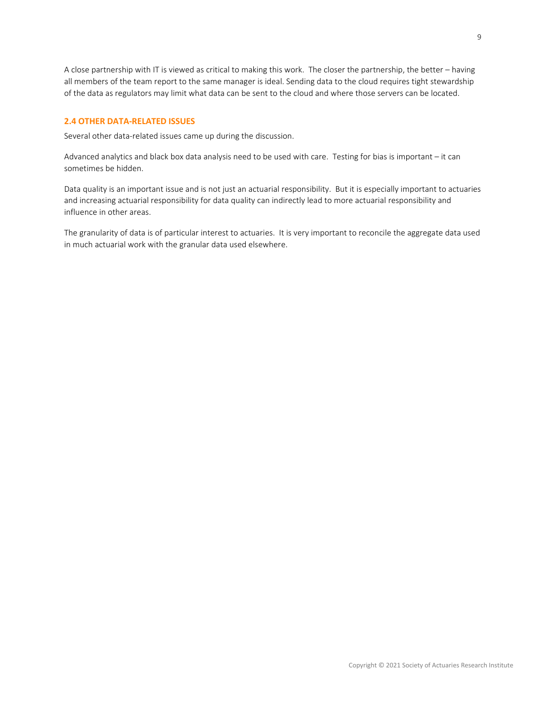A close partnership with IT is viewed as critical to making this work. The closer the partnership, the better – having all members of the team report to the same manager is ideal. Sending data to the cloud requires tight stewardship of the data as regulators may limit what data can be sent to the cloud and where those servers can be located.

#### <span id="page-8-0"></span>**2.4 OTHER DATA-RELATED ISSUES**

Several other data-related issues came up during the discussion.

Advanced analytics and black box data analysis need to be used with care. Testing for bias is important – it can sometimes be hidden.

Data quality is an important issue and is not just an actuarial responsibility. But it is especially important to actuaries and increasing actuarial responsibility for data quality can indirectly lead to more actuarial responsibility and influence in other areas.

The granularity of data is of particular interest to actuaries. It is very important to reconcile the aggregate data used in much actuarial work with the granular data used elsewhere.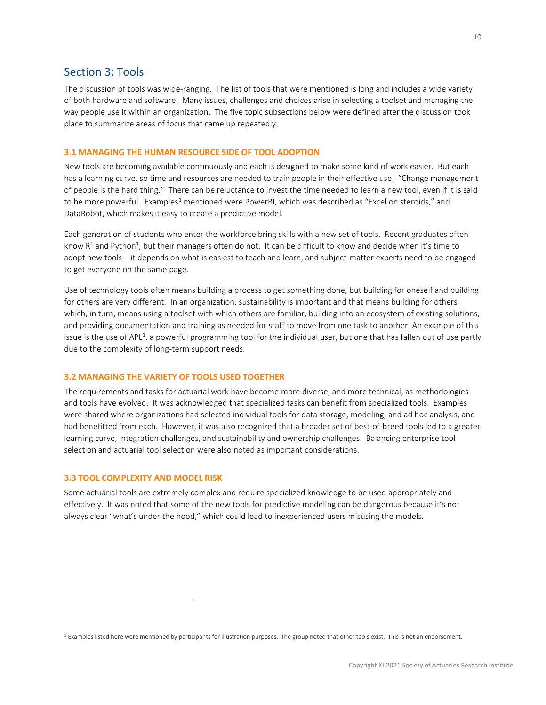### <span id="page-9-0"></span>Section 3: Tools

The discussion of tools was wide-ranging. The list of tools that were mentioned is long and includes a wide variety of both hardware and software. Many issues, challenges and choices arise in selecting a toolset and managing the way people use it within an organization. The five topic subsections below were defined after the discussion took place to summarize areas of focus that came up repeatedly.

#### <span id="page-9-1"></span>**3.1 MANAGING THE HUMAN RESOURCE SIDE OF TOOL ADOPTION**

New tools are becoming available continuously and each is designed to make some kind of work easier. But each has a learning curve, so time and resources are needed to train people in their effective use. "Change management of people is the hard thing." There can be reluctance to invest the time needed to learn a new tool, even if it is said to be more powerful. Examples<sup>[1](#page-9-4)</sup> mentioned were PowerBI, which was described as "Excel on steroids," and DataRobot, which makes it easy to create a predictive model.

Each generation of students who enter the workforce bring skills with a new set of tools. Recent graduates often know  $R^1$  and Python<sup>1</sup>, but their managers often do not. It can be difficult to know and decide when it's time to adopt new tools – it depends on what is easiest to teach and learn, and subject-matter experts need to be engaged to get everyone on the same page.

Use of technology tools often means building a process to get something done, but building for oneself and building for others are very different. In an organization, sustainability is important and that means building for others which, in turn, means using a toolset with which others are familiar, building into an ecosystem of existing solutions, and providing documentation and training as needed for staff to move from one task to another. An example of this issue is the use of APL<sup>1</sup>, a powerful programming tool for the individual user, but one that has fallen out of use partly due to the complexity of long-term support needs.

#### <span id="page-9-2"></span>**3.2 MANAGING THE VARIETY OF TOOLS USED TOGETHER**

The requirements and tasks for actuarial work have become more diverse, and more technical, as methodologies and tools have evolved. It was acknowledged that specialized tasks can benefit from specialized tools. Examples were shared where organizations had selected individual tools for data storage, modeling, and ad hoc analysis, and had benefitted from each. However, it was also recognized that a broader set of best-of-breed tools led to a greater learning curve, integration challenges, and sustainability and ownership challenges. Balancing enterprise tool selection and actuarial tool selection were also noted as important considerations.

#### <span id="page-9-3"></span>**3.3 TOOL COMPLEXITY AND MODEL RISK**

Some actuarial tools are extremely complex and require specialized knowledge to be used appropriately and effectively. It was noted that some of the new tools for predictive modeling can be dangerous because it's not always clear "what's under the hood," which could lead to inexperienced users misusing the models.

<span id="page-9-4"></span><sup>&</sup>lt;sup>1</sup> Examples listed here were mentioned by participants for illustration purposes. The group noted that other tools exist. This is not an endorsement.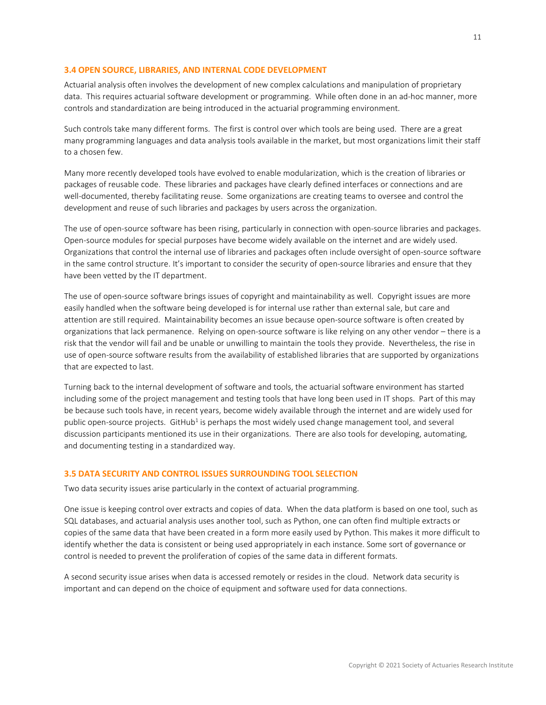#### <span id="page-10-0"></span>**3.4 OPEN SOURCE, LIBRARIES, AND INTERNAL CODE DEVELOPMENT**

Actuarial analysis often involves the development of new complex calculations and manipulation of proprietary data. This requires actuarial software development or programming. While often done in an ad-hoc manner, more controls and standardization are being introduced in the actuarial programming environment.

Such controls take many different forms. The first is control over which tools are being used. There are a great many programming languages and data analysis tools available in the market, but most organizations limit their staff to a chosen few.

Many more recently developed tools have evolved to enable modularization, which is the creation of libraries or packages of reusable code. These libraries and packages have clearly defined interfaces or connections and are well-documented, thereby facilitating reuse. Some organizations are creating teams to oversee and control the development and reuse of such libraries and packages by users across the organization.

The use of open-source software has been rising, particularly in connection with open-source libraries and packages. Open-source modules for special purposes have become widely available on the internet and are widely used. Organizations that control the internal use of libraries and packages often include oversight of open-source software in the same control structure. It's important to consider the security of open-source libraries and ensure that they have been vetted by the IT department.

The use of open-source software brings issues of copyright and maintainability as well. Copyright issues are more easily handled when the software being developed is for internal use rather than external sale, but care and attention are still required. Maintainability becomes an issue because open-source software is often created by organizations that lack permanence. Relying on open-source software is like relying on any other vendor – there is a risk that the vendor will fail and be unable or unwilling to maintain the tools they provide. Nevertheless, the rise in use of open-source software results from the availability of established libraries that are supported by organizations that are expected to last.

Turning back to the internal development of software and tools, the actuarial software environment has started including some of the project management and testing tools that have long been used in IT shops. Part of this may be because such tools have, in recent years, become widely available through the internet and are widely used for public open-source projects. GitHub<sup>1</sup> is perhaps the most widely used change management tool, and several discussion participants mentioned its use in their organizations. There are also tools for developing, automating, and documenting testing in a standardized way.

#### <span id="page-10-1"></span>**3.5 DATA SECURITY AND CONTROL ISSUES SURROUNDING TOOL SELECTION**

Two data security issues arise particularly in the context of actuarial programming.

One issue is keeping control over extracts and copies of data. When the data platform is based on one tool, such as SQL databases, and actuarial analysis uses another tool, such as Python, one can often find multiple extracts or copies of the same data that have been created in a form more easily used by Python. This makes it more difficult to identify whether the data is consistent or being used appropriately in each instance. Some sort of governance or control is needed to prevent the proliferation of copies of the same data in different formats.

A second security issue arises when data is accessed remotely or resides in the cloud. Network data security is important and can depend on the choice of equipment and software used for data connections.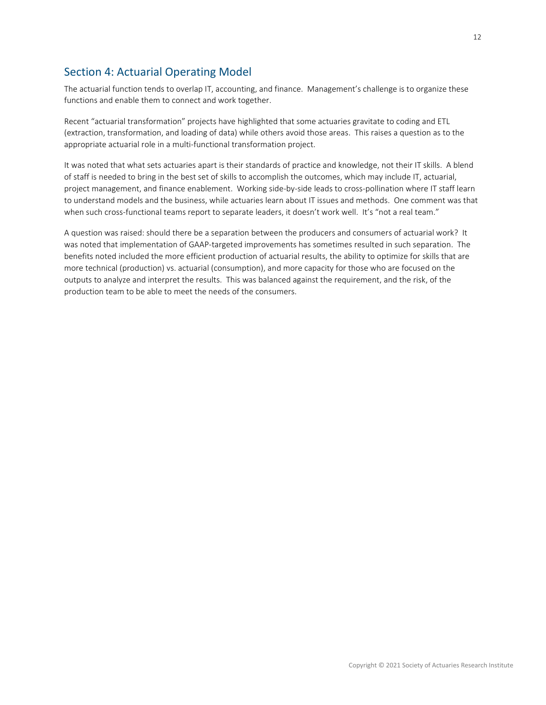# <span id="page-11-0"></span>Section 4: Actuarial Operating Model

The actuarial function tends to overlap IT, accounting, and finance. Management's challenge is to organize these functions and enable them to connect and work together.

Recent "actuarial transformation" projects have highlighted that some actuaries gravitate to coding and ETL (extraction, transformation, and loading of data) while others avoid those areas. This raises a question as to the appropriate actuarial role in a multi-functional transformation project.

It was noted that what sets actuaries apart is their standards of practice and knowledge, not their IT skills. A blend of staff is needed to bring in the best set of skills to accomplish the outcomes, which may include IT, actuarial, project management, and finance enablement. Working side-by-side leads to cross-pollination where IT staff learn to understand models and the business, while actuaries learn about IT issues and methods. One comment was that when such cross-functional teams report to separate leaders, it doesn't work well. It's "not a real team."

A question was raised: should there be a separation between the producers and consumers of actuarial work? It was noted that implementation of GAAP-targeted improvements has sometimes resulted in such separation. The benefits noted included the more efficient production of actuarial results, the ability to optimize for skills that are more technical (production) vs. actuarial (consumption), and more capacity for those who are focused on the outputs to analyze and interpret the results. This was balanced against the requirement, and the risk, of the production team to be able to meet the needs of the consumers.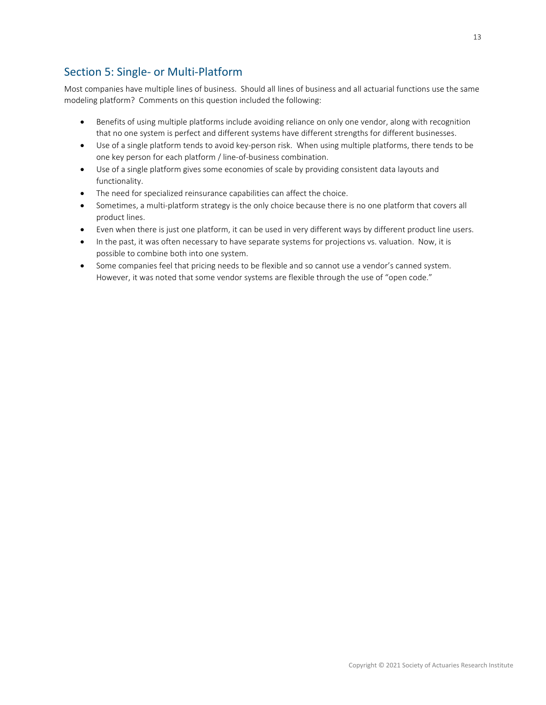# <span id="page-12-0"></span>Section 5: Single- or Multi-Platform

Most companies have multiple lines of business. Should all lines of business and all actuarial functions use the same modeling platform? Comments on this question included the following:

- Benefits of using multiple platforms include avoiding reliance on only one vendor, along with recognition that no one system is perfect and different systems have different strengths for different businesses.
- Use of a single platform tends to avoid key-person risk. When using multiple platforms, there tends to be one key person for each platform / line-of-business combination.
- Use of a single platform gives some economies of scale by providing consistent data layouts and functionality.
- The need for specialized reinsurance capabilities can affect the choice.
- Sometimes, a multi-platform strategy is the only choice because there is no one platform that covers all product lines.
- Even when there is just one platform, it can be used in very different ways by different product line users.
- In the past, it was often necessary to have separate systems for projections vs. valuation. Now, it is possible to combine both into one system.
- Some companies feel that pricing needs to be flexible and so cannot use a vendor's canned system. However, it was noted that some vendor systems are flexible through the use of "open code."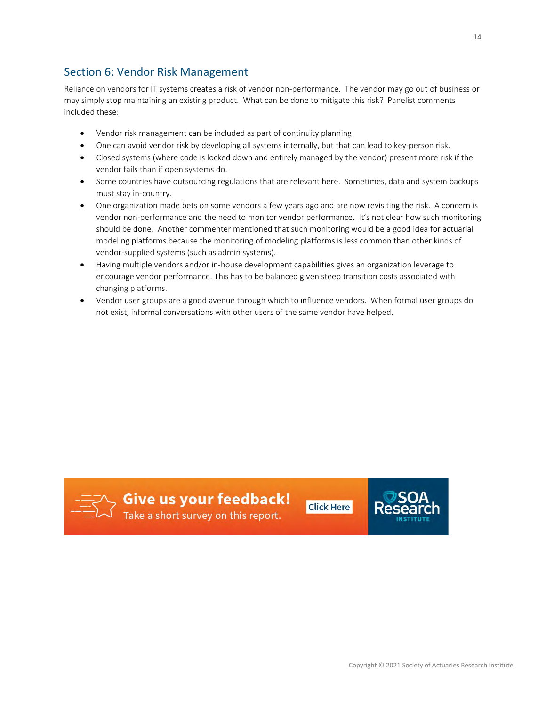<span id="page-13-0"></span>Reliance on vendors for IT systems creates a risk of vendor non-performance. The vendor may go out of business or may simply stop maintaining an existing product. What can be done to mitigate this risk? Panelist comments included these:

- Vendor risk management can be included as part of continuity planning.
- One can avoid vendor risk by developing all systems internally, but that can lead to key-person risk.
- Closed systems (where code is locked down and entirely managed by the vendor) present more risk if the vendor fails than if open systems do.
- Some countries have outsourcing regulations that are relevant here. Sometimes, data and system backups must stay in-country.
- One organization made bets on some vendors a few years ago and are now revisiting the risk. A concern is vendor non-performance and the need to monitor vendor performance. It's not clear how such monitoring should be done. Another commenter mentioned that such monitoring would be a good idea for actuarial modeling platforms because the monitoring of modeling platforms is less common than other kinds of vendor-supplied systems (such as admin systems).
- Having multiple vendors and/or in-house development capabilities gives an organization leverage to encourage vendor performance. This has to be balanced given steep transition costs associated with changing platforms.
- Vendor user groups are a good avenue through which to influence vendors. When formal user groups do not exist, informal conversations with other users of the same vendor have helped.



 $\equiv \rightarrow$  Give us your feedback!



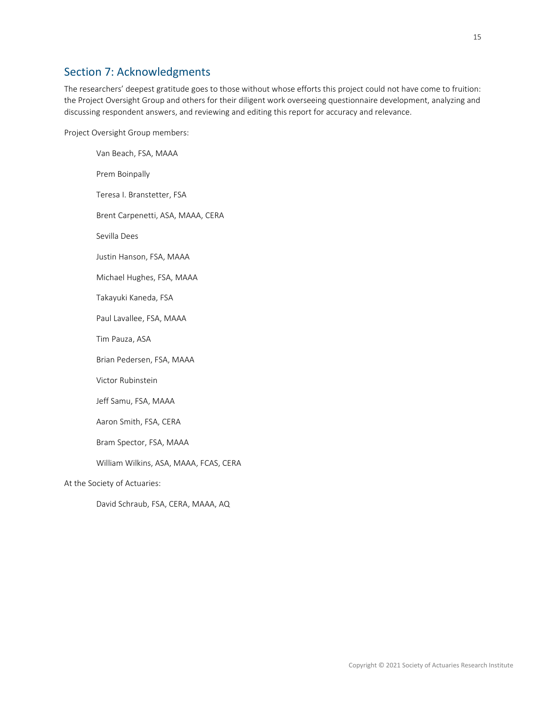# <span id="page-14-0"></span>Section 7: Acknowledgments

The researchers' deepest gratitude goes to those without whose efforts this project could not have come to fruition: the Project Oversight Group and others for their diligent work overseeing questionnaire development, analyzing and discussing respondent answers, and reviewing and editing this report for accuracy and relevance.

Project Oversight Group members:

Van Beach, FSA, MAAA Prem Boinpally Teresa I. Branstetter, FSA Brent Carpenetti, ASA, MAAA, CERA Sevilla Dees Justin Hanson, FSA, MAAA Michael Hughes, FSA, MAAA Takayuki Kaneda, FSA Paul Lavallee, FSA, MAAA Tim Pauza, ASA Brian Pedersen, FSA, MAAA Victor Rubinstein Jeff Samu, FSA, MAAA Aaron Smith, FSA, CERA Bram Spector, FSA, MAAA William Wilkins, ASA, MAAA, FCAS, CERA At the Society of Actuaries: David Schraub, FSA, CERA, MAAA, AQ